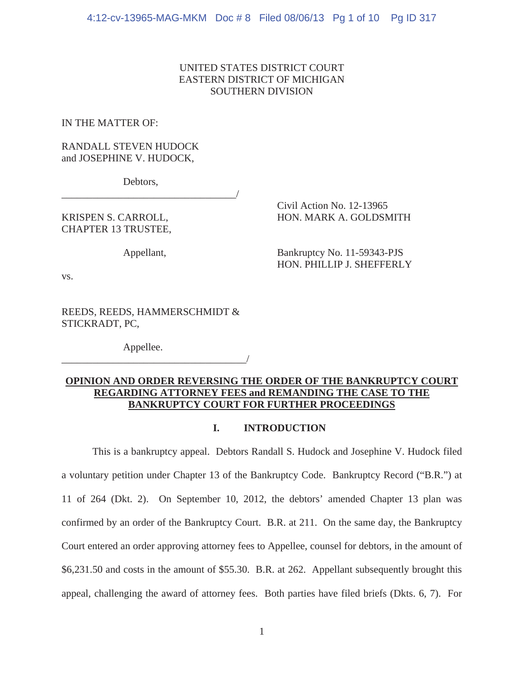# UNITED STATES DISTRICT COURT EASTERN DISTRICT OF MICHIGAN SOUTHERN DIVISION

IN THE MATTER OF:

# RANDALL STEVEN HUDOCK and JOSEPHINE V. HUDOCK,

Debtors,

\_\_\_\_\_\_\_\_\_\_\_\_\_\_\_\_\_\_\_\_\_\_\_\_\_\_\_\_\_\_\_\_\_\_/

CHAPTER 13 TRUSTEE,

 Civil Action No. 12-13965 KRISPEN S. CARROLL, HON. MARK A. GOLDSMITH

Appellant, Bankruptcy No. 11-59343-PJS HON. PHILLIP J. SHEFFERLY

vs.

REEDS, REEDS, HAMMERSCHMIDT & STICKRADT, PC,

Appellee.

\_\_\_\_\_\_\_\_\_\_\_\_\_\_\_\_\_\_\_\_\_\_\_\_\_\_\_\_\_\_\_\_\_\_\_\_/

# **OPINION AND ORDER REVERSING THE ORDER OF THE BANKRUPTCY COURT REGARDING ATTORNEY FEES and REMANDING THE CASE TO THE BANKRUPTCY COURT FOR FURTHER PROCEEDINGS**

## **I. INTRODUCTION**

This is a bankruptcy appeal. Debtors Randall S. Hudock and Josephine V. Hudock filed a voluntary petition under Chapter 13 of the Bankruptcy Code. Bankruptcy Record ("B.R.") at 11 of 264 (Dkt. 2). On September 10, 2012, the debtors' amended Chapter 13 plan was confirmed by an order of the Bankruptcy Court. B.R. at 211. On the same day, the Bankruptcy Court entered an order approving attorney fees to Appellee, counsel for debtors, in the amount of \$6,231.50 and costs in the amount of \$55.30. B.R. at 262. Appellant subsequently brought this appeal, challenging the award of attorney fees. Both parties have filed briefs (Dkts. 6, 7). For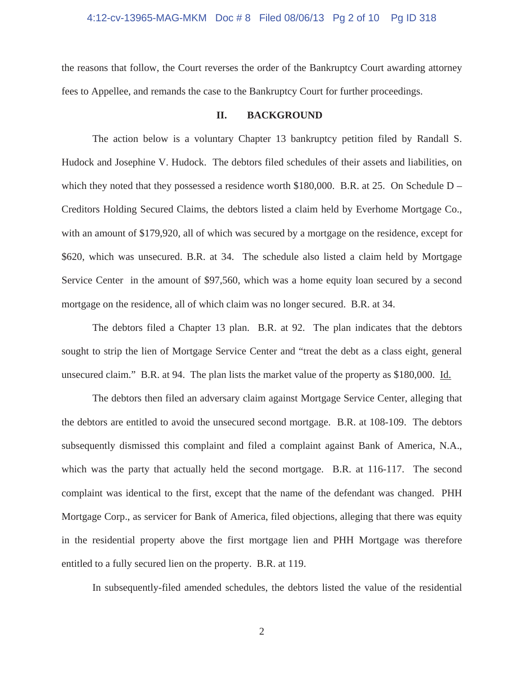#### 4:12-cv-13965-MAG-MKM Doc # 8 Filed 08/06/13 Pg 2 of 10 Pg ID 318

the reasons that follow, the Court reverses the order of the Bankruptcy Court awarding attorney fees to Appellee, and remands the case to the Bankruptcy Court for further proceedings.

## **II. BACKGROUND**

The action below is a voluntary Chapter 13 bankruptcy petition filed by Randall S. Hudock and Josephine V. Hudock. The debtors filed schedules of their assets and liabilities, on which they noted that they possessed a residence worth  $$180,000$ . B.R. at 25. On Schedule D – Creditors Holding Secured Claims, the debtors listed a claim held by Everhome Mortgage Co., with an amount of \$179,920, all of which was secured by a mortgage on the residence, except for \$620, which was unsecured. B.R. at 34. The schedule also listed a claim held by Mortgage Service Center in the amount of \$97,560, which was a home equity loan secured by a second mortgage on the residence, all of which claim was no longer secured. B.R. at 34.

The debtors filed a Chapter 13 plan. B.R. at 92. The plan indicates that the debtors sought to strip the lien of Mortgage Service Center and "treat the debt as a class eight, general unsecured claim." B.R. at 94. The plan lists the market value of the property as \$180,000. Id.

The debtors then filed an adversary claim against Mortgage Service Center, alleging that the debtors are entitled to avoid the unsecured second mortgage. B.R. at 108-109. The debtors subsequently dismissed this complaint and filed a complaint against Bank of America, N.A., which was the party that actually held the second mortgage. B.R. at 116-117. The second complaint was identical to the first, except that the name of the defendant was changed. PHH Mortgage Corp., as servicer for Bank of America, filed objections, alleging that there was equity in the residential property above the first mortgage lien and PHH Mortgage was therefore entitled to a fully secured lien on the property. B.R. at 119.

In subsequently-filed amended schedules, the debtors listed the value of the residential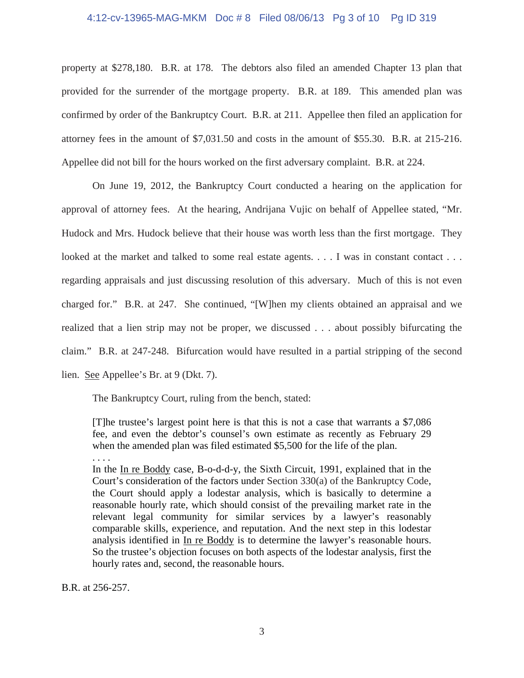# 4:12-cv-13965-MAG-MKM Doc # 8 Filed 08/06/13 Pg 3 of 10 Pg ID 319

property at \$278,180. B.R. at 178. The debtors also filed an amended Chapter 13 plan that provided for the surrender of the mortgage property. B.R. at 189. This amended plan was confirmed by order of the Bankruptcy Court. B.R. at 211. Appellee then filed an application for attorney fees in the amount of \$7,031.50 and costs in the amount of \$55.30. B.R. at 215-216. Appellee did not bill for the hours worked on the first adversary complaint. B.R. at 224.

On June 19, 2012, the Bankruptcy Court conducted a hearing on the application for approval of attorney fees. At the hearing, Andrijana Vujic on behalf of Appellee stated, "Mr. Hudock and Mrs. Hudock believe that their house was worth less than the first mortgage. They looked at the market and talked to some real estate agents. . . . I was in constant contact . . . regarding appraisals and just discussing resolution of this adversary. Much of this is not even charged for." B.R. at 247. She continued, "[W]hen my clients obtained an appraisal and we realized that a lien strip may not be proper, we discussed . . . about possibly bifurcating the claim." B.R. at 247-248. Bifurcation would have resulted in a partial stripping of the second lien. See Appellee's Br. at 9 (Dkt. 7).

The Bankruptcy Court, ruling from the bench, stated:

[T]he trustee's largest point here is that this is not a case that warrants a \$7,086 fee, and even the debtor's counsel's own estimate as recently as February 29 when the amended plan was filed estimated \$5,500 for the life of the plan.

. . . .

In the In re Boddy case, B-o-d-d-y, the Sixth Circuit, 1991, explained that in the Court's consideration of the factors under Section 330(a) of the Bankruptcy Code, the Court should apply a lodestar analysis, which is basically to determine a reasonable hourly rate, which should consist of the prevailing market rate in the relevant legal community for similar services by a lawyer's reasonably comparable skills, experience, and reputation. And the next step in this lodestar analysis identified in In re Boddy is to determine the lawyer's reasonable hours. So the trustee's objection focuses on both aspects of the lodestar analysis, first the hourly rates and, second, the reasonable hours.

B.R. at 256-257.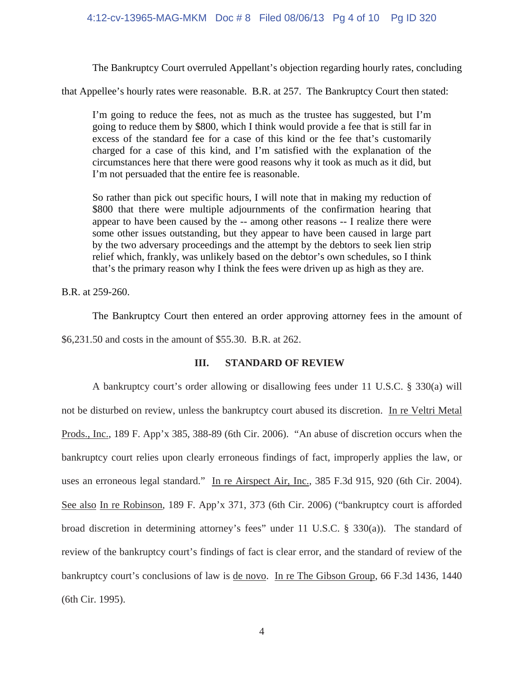## 4:12-cv-13965-MAG-MKM Doc # 8 Filed 08/06/13 Pg 4 of 10 Pg ID 320

The Bankruptcy Court overruled Appellant's objection regarding hourly rates, concluding

that Appellee's hourly rates were reasonable. B.R. at 257. The Bankruptcy Court then stated:

I'm going to reduce the fees, not as much as the trustee has suggested, but I'm going to reduce them by \$800, which I think would provide a fee that is still far in excess of the standard fee for a case of this kind or the fee that's customarily charged for a case of this kind, and I'm satisfied with the explanation of the circumstances here that there were good reasons why it took as much as it did, but I'm not persuaded that the entire fee is reasonable.

So rather than pick out specific hours, I will note that in making my reduction of \$800 that there were multiple adjournments of the confirmation hearing that appear to have been caused by the -- among other reasons -- I realize there were some other issues outstanding, but they appear to have been caused in large part by the two adversary proceedings and the attempt by the debtors to seek lien strip relief which, frankly, was unlikely based on the debtor's own schedules, so I think that's the primary reason why I think the fees were driven up as high as they are.

B.R. at 259-260.

 The Bankruptcy Court then entered an order approving attorney fees in the amount of \$6,231.50 and costs in the amount of \$55.30. B.R. at 262.

## **III. STANDARD OF REVIEW**

A bankruptcy court's order allowing or disallowing fees under 11 U.S.C. § 330(a) will not be disturbed on review, unless the bankruptcy court abused its discretion. In re Veltri Metal Prods., Inc., 189 F. App'x 385, 388-89 (6th Cir. 2006). "An abuse of discretion occurs when the bankruptcy court relies upon clearly erroneous findings of fact, improperly applies the law, or uses an erroneous legal standard." In re Airspect Air, Inc., 385 F.3d 915, 920 (6th Cir. 2004). See also In re Robinson, 189 F. App'x 371, 373 (6th Cir. 2006) ("bankruptcy court is afforded broad discretion in determining attorney's fees" under 11 U.S.C. § 330(a)). The standard of review of the bankruptcy court's findings of fact is clear error, and the standard of review of the bankruptcy court's conclusions of law is de novo. In re The Gibson Group, 66 F.3d 1436, 1440 (6th Cir. 1995).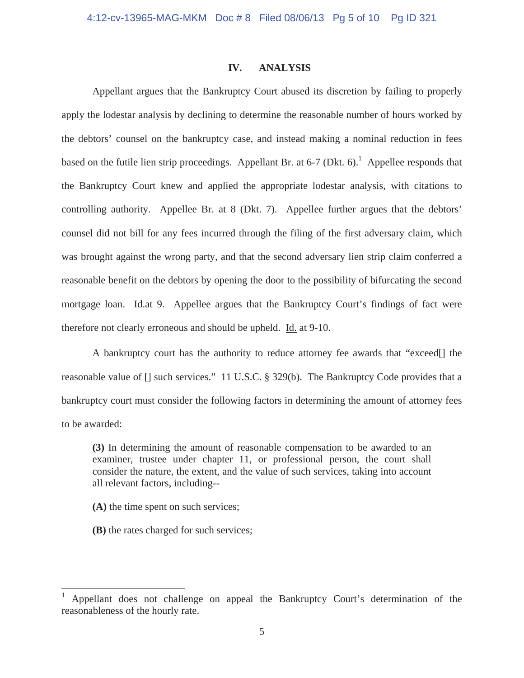#### **IV. ANALYSIS**

 Appellant argues that the Bankruptcy Court abused its discretion by failing to properly apply the lodestar analysis by declining to determine the reasonable number of hours worked by the debtors' counsel on the bankruptcy case, and instead making a nominal reduction in fees based on the futile lien strip proceedings. Appellant Br. at  $6-7$  (Dkt.  $6$ ).<sup>1</sup> Appellee responds that the Bankruptcy Court knew and applied the appropriate lodestar analysis, with citations to controlling authority. Appellee Br. at 8 (Dkt. 7). Appellee further argues that the debtors' counsel did not bill for any fees incurred through the filing of the first adversary claim, which was brought against the wrong party, and that the second adversary lien strip claim conferred a reasonable benefit on the debtors by opening the door to the possibility of bifurcating the second mortgage loan. Id.at 9. Appellee argues that the Bankruptcy Court's findings of fact were therefore not clearly erroneous and should be upheld. Id. at 9-10.

A bankruptcy court has the authority to reduce attorney fee awards that "exceed[] the reasonable value of [] such services." 11 U.S.C. § 329(b). The Bankruptcy Code provides that a bankruptcy court must consider the following factors in determining the amount of attorney fees to be awarded:

**(3)** In determining the amount of reasonable compensation to be awarded to an examiner, trustee under chapter 11, or professional person, the court shall consider the nature, the extent, and the value of such services, taking into account all relevant factors, including--

**(A)** the time spent on such services;

 $\overline{\phantom{a}}$ 

**(B)** the rates charged for such services;

<sup>1</sup> Appellant does not challenge on appeal the Bankruptcy Court's determination of the reasonableness of the hourly rate.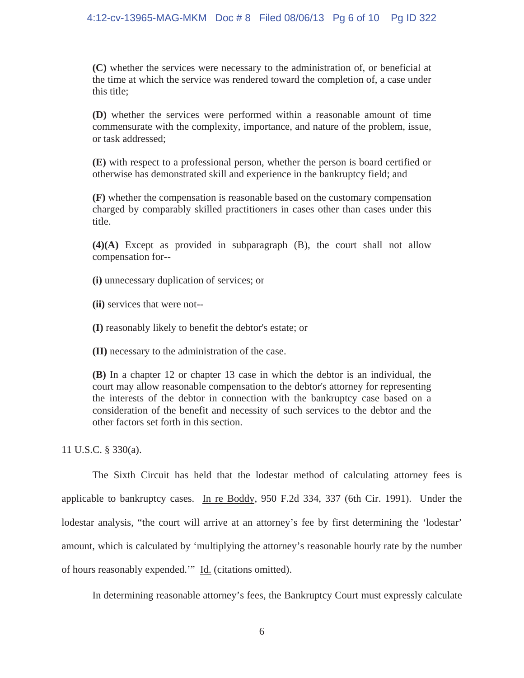## 4:12-cv-13965-MAG-MKM Doc # 8 Filed 08/06/13 Pg 6 of 10 Pg ID 322

**(C)** whether the services were necessary to the administration of, or beneficial at the time at which the service was rendered toward the completion of, a case under this title;

**(D)** whether the services were performed within a reasonable amount of time commensurate with the complexity, importance, and nature of the problem, issue, or task addressed;

**(E)** with respect to a professional person, whether the person is board certified or otherwise has demonstrated skill and experience in the bankruptcy field; and

**(F)** whether the compensation is reasonable based on the customary compensation charged by comparably skilled practitioners in cases other than cases under this title.

**(4)(A)** Except as provided in subparagraph (B), the court shall not allow compensation for--

**(i)** unnecessary duplication of services; or

**(ii)** services that were not--

**(I)** reasonably likely to benefit the debtor's estate; or

**(II)** necessary to the administration of the case.

**(B)** In a chapter 12 or chapter 13 case in which the debtor is an individual, the court may allow reasonable compensation to the debtor's attorney for representing the interests of the debtor in connection with the bankruptcy case based on a consideration of the benefit and necessity of such services to the debtor and the other factors set forth in this section.

11 U.S.C. § 330(a).

 The Sixth Circuit has held that the lodestar method of calculating attorney fees is applicable to bankruptcy cases. In re Boddy, 950 F.2d 334, 337 (6th Cir. 1991). Under the lodestar analysis, "the court will arrive at an attorney's fee by first determining the 'lodestar' amount, which is calculated by 'multiplying the attorney's reasonable hourly rate by the number of hours reasonably expended.'" Id. (citations omitted).

In determining reasonable attorney's fees, the Bankruptcy Court must expressly calculate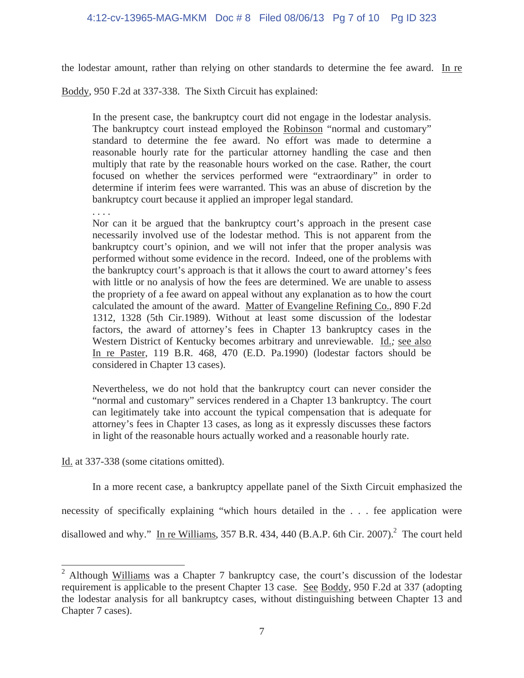the lodestar amount, rather than relying on other standards to determine the fee award. In re

Boddy, 950 F.2d at 337-338. The Sixth Circuit has explained:

In the present case, the bankruptcy court did not engage in the lodestar analysis. The bankruptcy court instead employed the Robinson "normal and customary" standard to determine the fee award. No effort was made to determine a reasonable hourly rate for the particular attorney handling the case and then multiply that rate by the reasonable hours worked on the case. Rather, the court focused on whether the services performed were "extraordinary" in order to determine if interim fees were warranted. This was an abuse of discretion by the bankruptcy court because it applied an improper legal standard.

. . . .

Nor can it be argued that the bankruptcy court's approach in the present case necessarily involved use of the lodestar method. This is not apparent from the bankruptcy court's opinion, and we will not infer that the proper analysis was performed without some evidence in the record. Indeed, one of the problems with the bankruptcy court's approach is that it allows the court to award attorney's fees with little or no analysis of how the fees are determined. We are unable to assess the propriety of a fee award on appeal without any explanation as to how the court calculated the amount of the award. Matter of Evangeline Refining Co.*,* 890 F.2d 1312, 1328 (5th Cir.1989). Without at least some discussion of the lodestar factors, the award of attorney's fees in Chapter 13 bankruptcy cases in the Western District of Kentucky becomes arbitrary and unreviewable. Id.*;* see also In re Paster, 119 B.R. 468, 470 (E.D. Pa.1990) (lodestar factors should be considered in Chapter 13 cases).

Nevertheless, we do not hold that the bankruptcy court can never consider the "normal and customary" services rendered in a Chapter 13 bankruptcy. The court can legitimately take into account the typical compensation that is adequate for attorney's fees in Chapter 13 cases, as long as it expressly discusses these factors in light of the reasonable hours actually worked and a reasonable hourly rate.

Id. at 337-338 (some citations omitted).

 $\overline{a}$ 

 In a more recent case, a bankruptcy appellate panel of the Sixth Circuit emphasized the necessity of specifically explaining "which hours detailed in the . . . fee application were disallowed and why." In re Williams, 357 B.R. 434, 440 (B.A.P. 6th Cir. 2007).<sup>2</sup> The court held

<sup>&</sup>lt;sup>2</sup> Although Williams was a Chapter 7 bankruptcy case, the court's discussion of the lodestar requirement is applicable to the present Chapter 13 case. See Boddy, 950 F.2d at 337 (adopting the lodestar analysis for all bankruptcy cases, without distinguishing between Chapter 13 and Chapter 7 cases).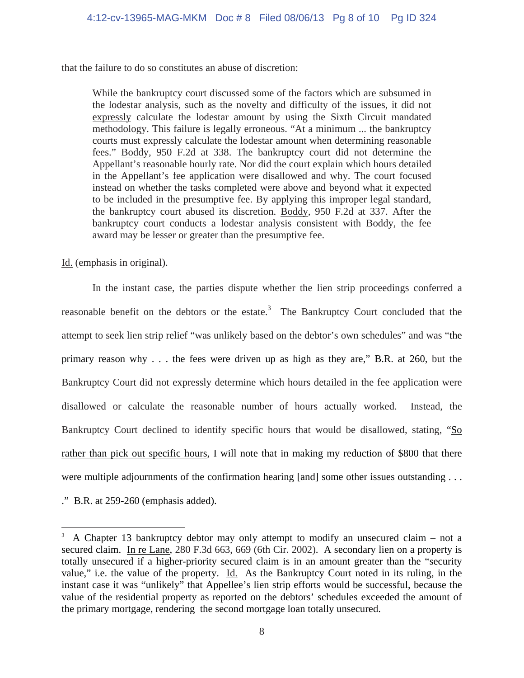that the failure to do so constitutes an abuse of discretion:

While the bankruptcy court discussed some of the factors which are subsumed in the lodestar analysis, such as the novelty and difficulty of the issues, it did not expressly calculate the lodestar amount by using the Sixth Circuit mandated methodology. This failure is legally erroneous. "At a minimum ... the bankruptcy courts must expressly calculate the lodestar amount when determining reasonable fees." Boddy*,* 950 F.2d at 338. The bankruptcy court did not determine the Appellant's reasonable hourly rate. Nor did the court explain which hours detailed in the Appellant's fee application were disallowed and why. The court focused instead on whether the tasks completed were above and beyond what it expected to be included in the presumptive fee. By applying this improper legal standard, the bankruptcy court abused its discretion. Boddy*,* 950 F.2d at 337. After the bankruptcy court conducts a lodestar analysis consistent with Boddy*,* the fee award may be lesser or greater than the presumptive fee.

Id. (emphasis in original).

 In the instant case, the parties dispute whether the lien strip proceedings conferred a reasonable benefit on the debtors or the estate.<sup>3</sup> The Bankruptcy Court concluded that the attempt to seek lien strip relief "was unlikely based on the debtor's own schedules" and was "the primary reason why . . . the fees were driven up as high as they are," B.R. at 260, but the Bankruptcy Court did not expressly determine which hours detailed in the fee application were disallowed or calculate the reasonable number of hours actually worked. Instead, the Bankruptcy Court declined to identify specific hours that would be disallowed, stating, "So rather than pick out specific hours, I will note that in making my reduction of \$800 that there were multiple adjournments of the confirmation hearing [and] some other issues outstanding . . .

." B.R. at 259-260 (emphasis added).

 $\overline{\phantom{a}}$ 

<sup>&</sup>lt;sup>3</sup> A Chapter 13 bankruptcy debtor may only attempt to modify an unsecured claim – not a secured claim. In re Lane, 280 F.3d 663, 669 (6th Cir. 2002). A secondary lien on a property is totally unsecured if a higher-priority secured claim is in an amount greater than the "security value," i.e. the value of the property. Id. As the Bankruptcy Court noted in its ruling, in the instant case it was "unlikely" that Appellee's lien strip efforts would be successful, because the value of the residential property as reported on the debtors' schedules exceeded the amount of the primary mortgage, rendering the second mortgage loan totally unsecured.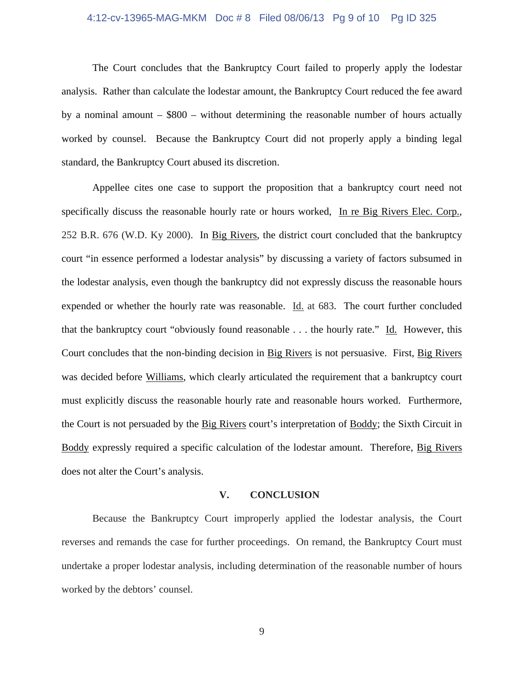#### 4:12-cv-13965-MAG-MKM Doc # 8 Filed 08/06/13 Pg 9 of 10 Pg ID 325

 The Court concludes that the Bankruptcy Court failed to properly apply the lodestar analysis. Rather than calculate the lodestar amount, the Bankruptcy Court reduced the fee award by a nominal amount – \$800 – without determining the reasonable number of hours actually worked by counsel. Because the Bankruptcy Court did not properly apply a binding legal standard, the Bankruptcy Court abused its discretion.

 Appellee cites one case to support the proposition that a bankruptcy court need not specifically discuss the reasonable hourly rate or hours worked, In re Big Rivers Elec. Corp., 252 B.R. 676 (W.D. Ky 2000). In Big Rivers, the district court concluded that the bankruptcy court "in essence performed a lodestar analysis" by discussing a variety of factors subsumed in the lodestar analysis, even though the bankruptcy did not expressly discuss the reasonable hours expended or whether the hourly rate was reasonable. Id. at 683. The court further concluded that the bankruptcy court "obviously found reasonable . . . the hourly rate." Id. However, this Court concludes that the non-binding decision in Big Rivers is not persuasive. First, Big Rivers was decided before Williams, which clearly articulated the requirement that a bankruptcy court must explicitly discuss the reasonable hourly rate and reasonable hours worked. Furthermore, the Court is not persuaded by the Big Rivers court's interpretation of Boddy; the Sixth Circuit in Boddy expressly required a specific calculation of the lodestar amount. Therefore, Big Rivers does not alter the Court's analysis.

#### **V. CONCLUSION**

 Because the Bankruptcy Court improperly applied the lodestar analysis, the Court reverses and remands the case for further proceedings. On remand, the Bankruptcy Court must undertake a proper lodestar analysis, including determination of the reasonable number of hours worked by the debtors' counsel.

9